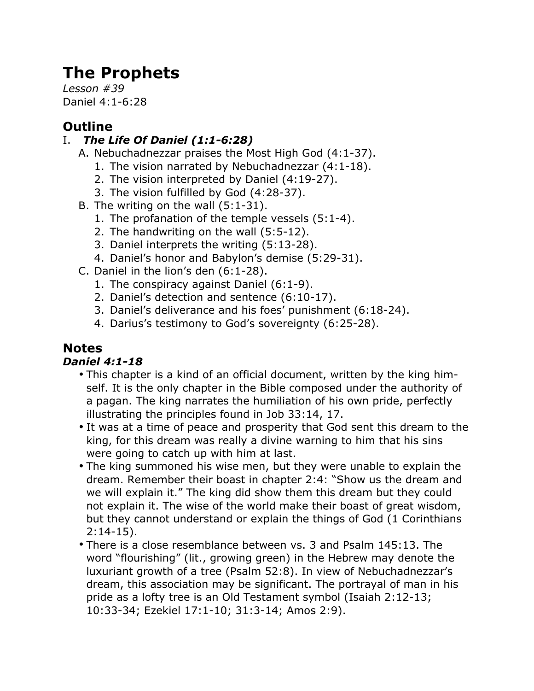# **The Prophets**

*Lesson #39* Daniel 4:1-6:28

# **Outline**

## I. *The Life Of Daniel (1:1-6:28)*

- A. Nebuchadnezzar praises the Most High God (4:1-37).
	- 1. The vision narrated by Nebuchadnezzar (4:1-18).
	- 2. The vision interpreted by Daniel (4:19-27).
	- 3. The vision fulfilled by God (4:28-37).
- B. The writing on the wall (5:1-31).
	- 1. The profanation of the temple vessels (5:1-4).
	- 2. The handwriting on the wall (5:5-12).
	- 3. Daniel interprets the writing (5:13-28).
	- 4. Daniel's honor and Babylon's demise (5:29-31).
- C. Daniel in the lion's den (6:1-28).
	- 1. The conspiracy against Daniel (6:1-9).
	- 2. Daniel's detection and sentence (6:10-17).
	- 3. Daniel's deliverance and his foes' punishment (6:18-24).
	- 4. Darius's testimony to God's sovereignty (6:25-28).

# **Notes**

## *Daniel 4:1-18*

- This chapter is a kind of an official document, written by the king himself. It is the only chapter in the Bible composed under the authority of a pagan. The king narrates the humiliation of his own pride, perfectly illustrating the principles found in Job 33:14, 17.
- It was at a time of peace and prosperity that God sent this dream to the king, for this dream was really a divine warning to him that his sins were going to catch up with him at last.
- The king summoned his wise men, but they were unable to explain the dream. Remember their boast in chapter 2:4: "Show us the dream and we will explain it." The king did show them this dream but they could not explain it. The wise of the world make their boast of great wisdom, but they cannot understand or explain the things of God (1 Corinthians 2:14-15).
- There is a close resemblance between vs. 3 and Psalm 145:13. The word "flourishing" (lit., growing green) in the Hebrew may denote the luxuriant growth of a tree (Psalm 52:8). In view of Nebuchadnezzar's dream, this association may be significant. The portrayal of man in his pride as a lofty tree is an Old Testament symbol (Isaiah 2:12-13; 10:33-34; Ezekiel 17:1-10; 31:3-14; Amos 2:9).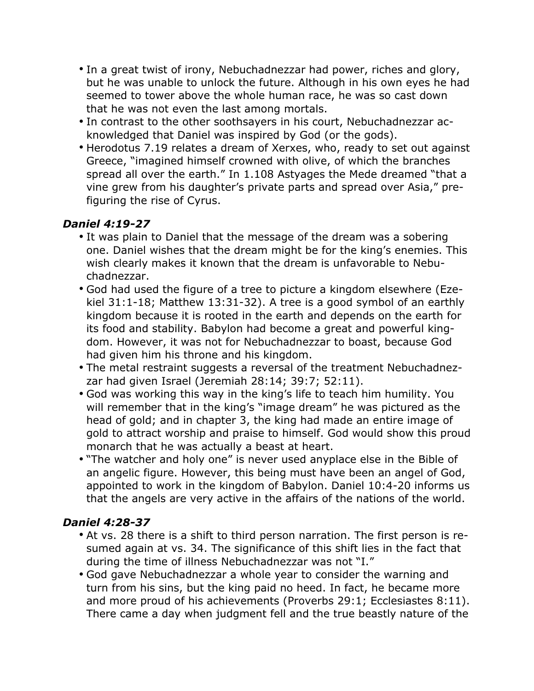- In a great twist of irony, Nebuchadnezzar had power, riches and glory, but he was unable to unlock the future. Although in his own eyes he had seemed to tower above the whole human race, he was so cast down that he was not even the last among mortals.
- In contrast to the other soothsayers in his court, Nebuchadnezzar acknowledged that Daniel was inspired by God (or the gods).
- Herodotus 7.19 relates a dream of Xerxes, who, ready to set out against Greece, "imagined himself crowned with olive, of which the branches spread all over the earth." In 1.108 Astyages the Mede dreamed "that a vine grew from his daughter's private parts and spread over Asia," prefiguring the rise of Cyrus.

#### *Daniel 4:19-27*

- It was plain to Daniel that the message of the dream was a sobering one. Daniel wishes that the dream might be for the king's enemies. This wish clearly makes it known that the dream is unfavorable to Nebuchadnezzar.
- God had used the figure of a tree to picture a kingdom elsewhere (Ezekiel 31:1-18; Matthew 13:31-32). A tree is a good symbol of an earthly kingdom because it is rooted in the earth and depends on the earth for its food and stability. Babylon had become a great and powerful kingdom. However, it was not for Nebuchadnezzar to boast, because God had given him his throne and his kingdom.
- The metal restraint suggests a reversal of the treatment Nebuchadnezzar had given Israel (Jeremiah 28:14; 39:7; 52:11).
- God was working this way in the king's life to teach him humility. You will remember that in the king's "image dream" he was pictured as the head of gold; and in chapter 3, the king had made an entire image of gold to attract worship and praise to himself. God would show this proud monarch that he was actually a beast at heart.
- "The watcher and holy one" is never used anyplace else in the Bible of an angelic figure. However, this being must have been an angel of God, appointed to work in the kingdom of Babylon. Daniel 10:4-20 informs us that the angels are very active in the affairs of the nations of the world.

#### *Daniel 4:28-37*

- At vs. 28 there is a shift to third person narration. The first person is resumed again at vs. 34. The significance of this shift lies in the fact that during the time of illness Nebuchadnezzar was not "I."
- God gave Nebuchadnezzar a whole year to consider the warning and turn from his sins, but the king paid no heed. In fact, he became more and more proud of his achievements (Proverbs 29:1; Ecclesiastes 8:11). There came a day when judgment fell and the true beastly nature of the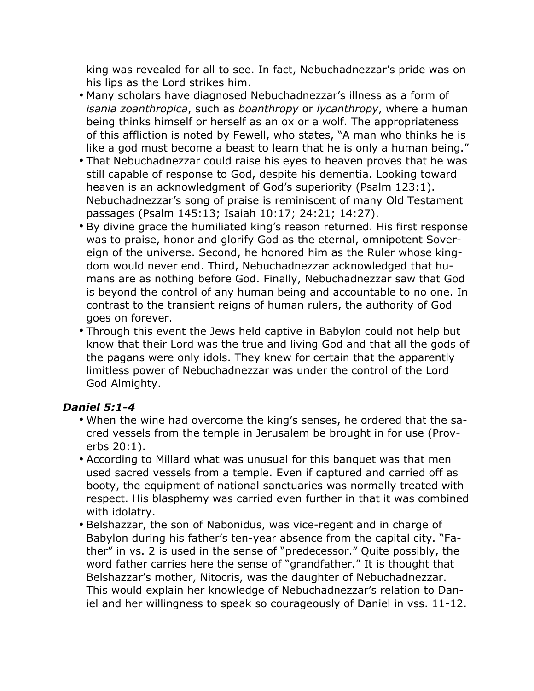king was revealed for all to see. In fact, Nebuchadnezzar's pride was on his lips as the Lord strikes him.

- Many scholars have diagnosed Nebuchadnezzar's illness as a form of *isania zoanthropica*, such as *boanthropy* or *lycanthropy*, where a human being thinks himself or herself as an ox or a wolf. The appropriateness of this affliction is noted by Fewell, who states, "A man who thinks he is like a god must become a beast to learn that he is only a human being."
- That Nebuchadnezzar could raise his eyes to heaven proves that he was still capable of response to God, despite his dementia. Looking toward heaven is an acknowledgment of God's superiority (Psalm 123:1). Nebuchadnezzar's song of praise is reminiscent of many Old Testament passages (Psalm 145:13; Isaiah 10:17; 24:21; 14:27).
- By divine grace the humiliated king's reason returned. His first response was to praise, honor and glorify God as the eternal, omnipotent Sovereign of the universe. Second, he honored him as the Ruler whose kingdom would never end. Third, Nebuchadnezzar acknowledged that humans are as nothing before God. Finally, Nebuchadnezzar saw that God is beyond the control of any human being and accountable to no one. In contrast to the transient reigns of human rulers, the authority of God goes on forever.
- Through this event the Jews held captive in Babylon could not help but know that their Lord was the true and living God and that all the gods of the pagans were only idols. They knew for certain that the apparently limitless power of Nebuchadnezzar was under the control of the Lord God Almighty.

#### *Daniel 5:1-4*

- When the wine had overcome the king's senses, he ordered that the sacred vessels from the temple in Jerusalem be brought in for use (Proverbs 20:1).
- According to Millard what was unusual for this banquet was that men used sacred vessels from a temple. Even if captured and carried off as booty, the equipment of national sanctuaries was normally treated with respect. His blasphemy was carried even further in that it was combined with idolatry.
- Belshazzar, the son of Nabonidus, was vice-regent and in charge of Babylon during his father's ten-year absence from the capital city. "Father" in vs. 2 is used in the sense of "predecessor." Quite possibly, the word father carries here the sense of "grandfather." It is thought that Belshazzar's mother, Nitocris, was the daughter of Nebuchadnezzar. This would explain her knowledge of Nebuchadnezzar's relation to Daniel and her willingness to speak so courageously of Daniel in vss. 11-12.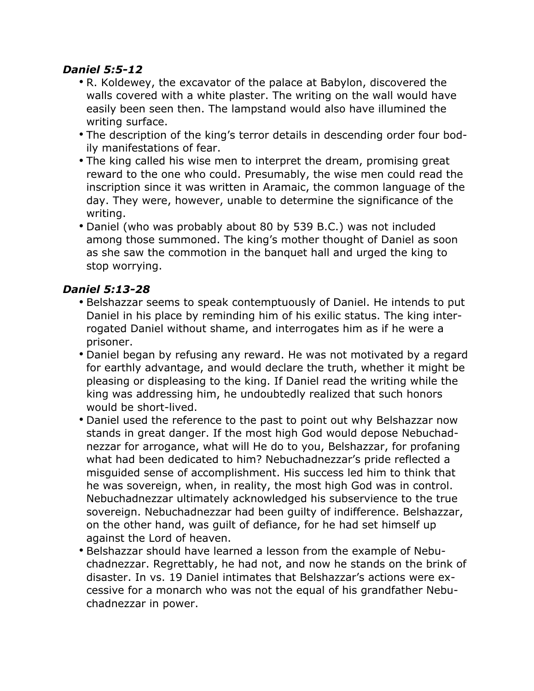#### *Daniel 5:5-12*

- R. Koldewey, the excavator of the palace at Babylon, discovered the walls covered with a white plaster. The writing on the wall would have easily been seen then. The lampstand would also have illumined the writing surface.
- The description of the king's terror details in descending order four bodily manifestations of fear.
- The king called his wise men to interpret the dream, promising great reward to the one who could. Presumably, the wise men could read the inscription since it was written in Aramaic, the common language of the day. They were, however, unable to determine the significance of the writing.
- Daniel (who was probably about 80 by 539 B.C.) was not included among those summoned. The king's mother thought of Daniel as soon as she saw the commotion in the banquet hall and urged the king to stop worrying.

#### *Daniel 5:13-28*

- Belshazzar seems to speak contemptuously of Daniel. He intends to put Daniel in his place by reminding him of his exilic status. The king interrogated Daniel without shame, and interrogates him as if he were a prisoner.
- Daniel began by refusing any reward. He was not motivated by a regard for earthly advantage, and would declare the truth, whether it might be pleasing or displeasing to the king. If Daniel read the writing while the king was addressing him, he undoubtedly realized that such honors would be short-lived.
- Daniel used the reference to the past to point out why Belshazzar now stands in great danger. If the most high God would depose Nebuchadnezzar for arrogance, what will He do to you, Belshazzar, for profaning what had been dedicated to him? Nebuchadnezzar's pride reflected a misguided sense of accomplishment. His success led him to think that he was sovereign, when, in reality, the most high God was in control. Nebuchadnezzar ultimately acknowledged his subservience to the true sovereign. Nebuchadnezzar had been guilty of indifference. Belshazzar, on the other hand, was guilt of defiance, for he had set himself up against the Lord of heaven.
- Belshazzar should have learned a lesson from the example of Nebuchadnezzar. Regrettably, he had not, and now he stands on the brink of disaster. In vs. 19 Daniel intimates that Belshazzar's actions were excessive for a monarch who was not the equal of his grandfather Nebuchadnezzar in power.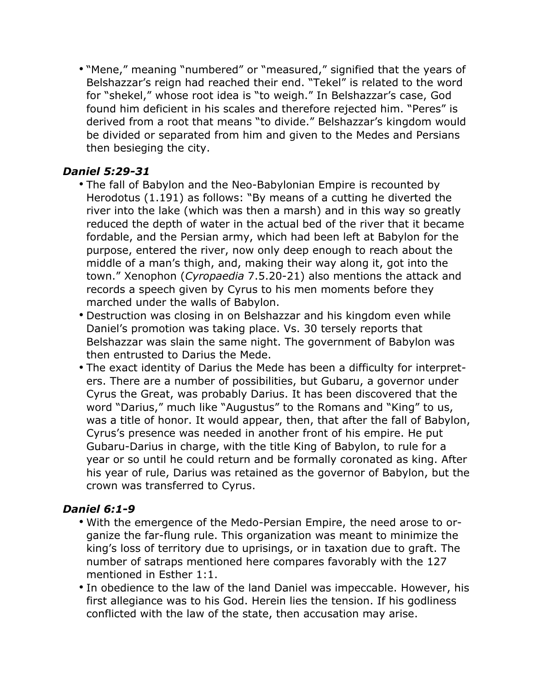• "Mene," meaning "numbered" or "measured," signified that the years of Belshazzar's reign had reached their end. "Tekel" is related to the word for "shekel," whose root idea is "to weigh." In Belshazzar's case, God found him deficient in his scales and therefore rejected him. "Peres" is derived from a root that means "to divide." Belshazzar's kingdom would be divided or separated from him and given to the Medes and Persians then besieging the city.

#### *Daniel 5:29-31*

- The fall of Babylon and the Neo-Babylonian Empire is recounted by Herodotus (1.191) as follows: "By means of a cutting he diverted the river into the lake (which was then a marsh) and in this way so greatly reduced the depth of water in the actual bed of the river that it became fordable, and the Persian army, which had been left at Babylon for the purpose, entered the river, now only deep enough to reach about the middle of a man's thigh, and, making their way along it, got into the town." Xenophon (*Cyropaedia* 7.5.20-21) also mentions the attack and records a speech given by Cyrus to his men moments before they marched under the walls of Babylon.
- Destruction was closing in on Belshazzar and his kingdom even while Daniel's promotion was taking place. Vs. 30 tersely reports that Belshazzar was slain the same night. The government of Babylon was then entrusted to Darius the Mede.
- The exact identity of Darius the Mede has been a difficulty for interpreters. There are a number of possibilities, but Gubaru, a governor under Cyrus the Great, was probably Darius. It has been discovered that the word "Darius," much like "Augustus" to the Romans and "King" to us, was a title of honor. It would appear, then, that after the fall of Babylon, Cyrus's presence was needed in another front of his empire. He put Gubaru-Darius in charge, with the title King of Babylon, to rule for a year or so until he could return and be formally coronated as king. After his year of rule, Darius was retained as the governor of Babylon, but the crown was transferred to Cyrus.

#### *Daniel 6:1-9*

- With the emergence of the Medo-Persian Empire, the need arose to organize the far-flung rule. This organization was meant to minimize the king's loss of territory due to uprisings, or in taxation due to graft. The number of satraps mentioned here compares favorably with the 127 mentioned in Esther 1:1.
- In obedience to the law of the land Daniel was impeccable. However, his first allegiance was to his God. Herein lies the tension. If his godliness conflicted with the law of the state, then accusation may arise.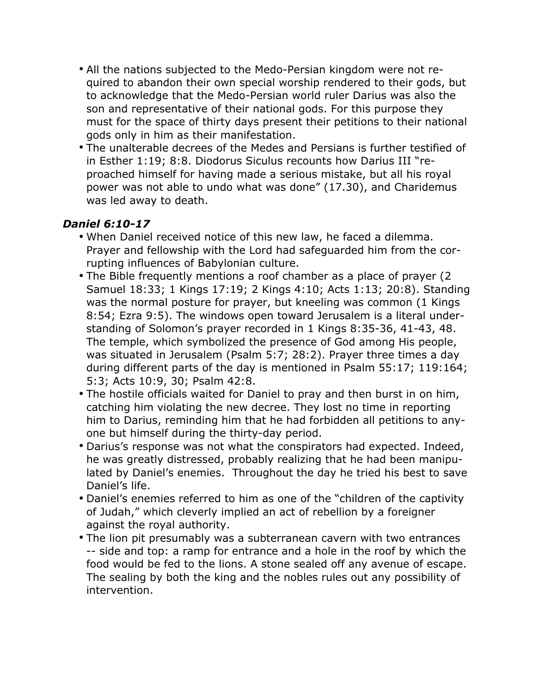- All the nations subjected to the Medo-Persian kingdom were not required to abandon their own special worship rendered to their gods, but to acknowledge that the Medo-Persian world ruler Darius was also the son and representative of their national gods. For this purpose they must for the space of thirty days present their petitions to their national gods only in him as their manifestation.
- The unalterable decrees of the Medes and Persians is further testified of in Esther 1:19; 8:8. Diodorus Siculus recounts how Darius III "reproached himself for having made a serious mistake, but all his royal power was not able to undo what was done" (17.30), and Charidemus was led away to death.

#### *Daniel 6:10-17*

- When Daniel received notice of this new law, he faced a dilemma. Prayer and fellowship with the Lord had safeguarded him from the corrupting influences of Babylonian culture.
- The Bible frequently mentions a roof chamber as a place of prayer (2 Samuel 18:33; 1 Kings 17:19; 2 Kings 4:10; Acts 1:13; 20:8). Standing was the normal posture for prayer, but kneeling was common (1 Kings 8:54; Ezra 9:5). The windows open toward Jerusalem is a literal understanding of Solomon's prayer recorded in 1 Kings 8:35-36, 41-43, 48. The temple, which symbolized the presence of God among His people, was situated in Jerusalem (Psalm 5:7; 28:2). Prayer three times a day during different parts of the day is mentioned in Psalm 55:17; 119:164; 5:3; Acts 10:9, 30; Psalm 42:8.
- The hostile officials waited for Daniel to pray and then burst in on him, catching him violating the new decree. They lost no time in reporting him to Darius, reminding him that he had forbidden all petitions to anyone but himself during the thirty-day period.
- Darius's response was not what the conspirators had expected. Indeed, he was greatly distressed, probably realizing that he had been manipulated by Daniel's enemies. Throughout the day he tried his best to save Daniel's life.
- Daniel's enemies referred to him as one of the "children of the captivity of Judah," which cleverly implied an act of rebellion by a foreigner against the royal authority.
- The lion pit presumably was a subterranean cavern with two entrances -- side and top: a ramp for entrance and a hole in the roof by which the food would be fed to the lions. A stone sealed off any avenue of escape. The sealing by both the king and the nobles rules out any possibility of intervention.